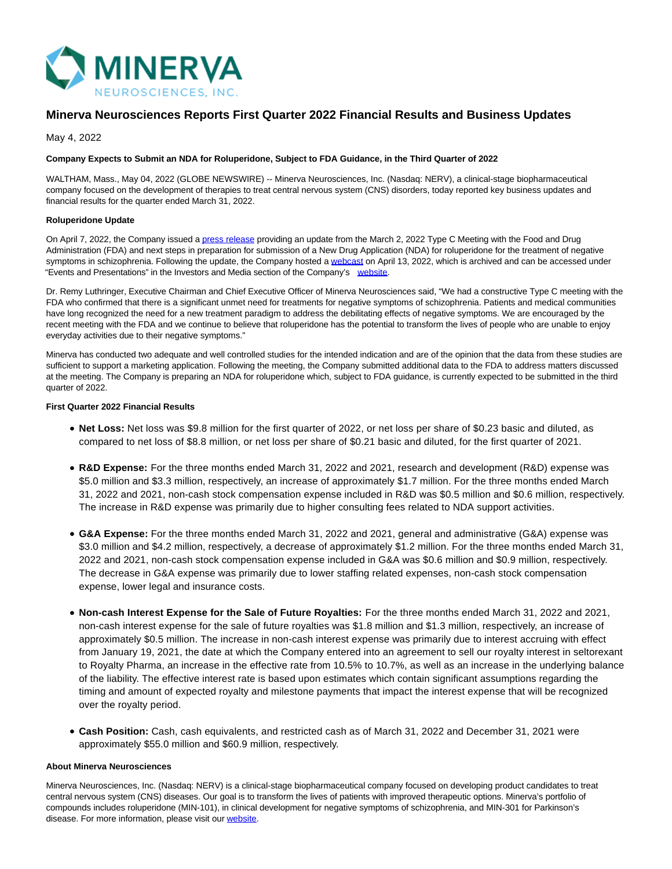

# **Minerva Neurosciences Reports First Quarter 2022 Financial Results and Business Updates**

May 4, 2022

#### **Company Expects to Submit an NDA for Roluperidone, Subject to FDA Guidance, in the Third Quarter of 2022**

WALTHAM, Mass., May 04, 2022 (GLOBE NEWSWIRE) -- Minerva Neurosciences, Inc. (Nasdaq: NERV), a clinical-stage biopharmaceutical company focused on the development of therapies to treat central nervous system (CNS) disorders, today reported key business updates and financial results for the quarter ended March 31, 2022.

#### **Roluperidone Update**

On April 7, 2022, the Company issued [a press release p](https://www.globenewswire.com/Tracker?data=x2MoR-myegxNrjXk4zkQCPWG2Q-36CNaUME84D8PVV-7fOymd_wxJYGPK1tQRxFmDOMA0dtXiI8R5hlr-YSVpJdldloYV633wAbw-FflK__PPsFER8Ko8JJRkY57xOG-NsmvxZjAImEnJUlJSqfjDX6qI_0zLVl4LF66yVDC-d6Y7TnF-wcljBdKsVhsfKHusCg_VRbvIHziFGbF8-3ZVZr-Zq1i_Km55-yPw7TdZZI=)roviding an update from the March 2, 2022 Type C Meeting with the Food and Drug Administration (FDA) and next steps in preparation for submission of a New Drug Application (NDA) for roluperidone for the treatment of negative symptoms in schizophrenia. Following the update, the Company hosted a [webcast o](https://www.globenewswire.com/Tracker?data=_JY6zSaF645tNg9k-U1luttDqXQ9RM4iPBmukverETiwCttZHcF2TezuuNv1uYkqGTUcdwBztEbrDJXJSNPcfEem0vNoPR7X8fRlejncgszNDlW-3ufu3KV7DxLcRxGx)n April 13, 2022, which is archived and can be accessed under "Events and Presentations" in the Investors and Media section of the Company's [website.](https://www.globenewswire.com/Tracker?data=f0sBmzLNpEwYsXWJIkBkYVTtdU6-K87MaGMrtDQixMmn-zqjUibZgZjMnQIEeB5zh2VCJ8CbKUDGnl5etrY8ki27EIYYSRifPibFWdmjljgMboc7MfSrPyCS7tdBsMhz)

Dr. Remy Luthringer, Executive Chairman and Chief Executive Officer of Minerva Neurosciences said, "We had a constructive Type C meeting with the FDA who confirmed that there is a significant unmet need for treatments for negative symptoms of schizophrenia. Patients and medical communities have long recognized the need for a new treatment paradigm to address the debilitating effects of negative symptoms. We are encouraged by the recent meeting with the FDA and we continue to believe that roluperidone has the potential to transform the lives of people who are unable to enjoy everyday activities due to their negative symptoms."

Minerva has conducted two adequate and well controlled studies for the intended indication and are of the opinion that the data from these studies are sufficient to support a marketing application. Following the meeting, the Company submitted additional data to the FDA to address matters discussed at the meeting. The Company is preparing an NDA for roluperidone which, subject to FDA guidance, is currently expected to be submitted in the third quarter of 2022.

## **First Quarter 2022 Financial Results**

- **Net Loss:** Net loss was \$9.8 million for the first quarter of 2022, or net loss per share of \$0.23 basic and diluted, as compared to net loss of \$8.8 million, or net loss per share of \$0.21 basic and diluted, for the first quarter of 2021.
- **R&D Expense:** For the three months ended March 31, 2022 and 2021, research and development (R&D) expense was \$5.0 million and \$3.3 million, respectively, an increase of approximately \$1.7 million. For the three months ended March 31, 2022 and 2021, non-cash stock compensation expense included in R&D was \$0.5 million and \$0.6 million, respectively. The increase in R&D expense was primarily due to higher consulting fees related to NDA support activities.
- **G&A Expense:** For the three months ended March 31, 2022 and 2021, general and administrative (G&A) expense was \$3.0 million and \$4.2 million, respectively, a decrease of approximately \$1.2 million. For the three months ended March 31, 2022 and 2021, non-cash stock compensation expense included in G&A was \$0.6 million and \$0.9 million, respectively. The decrease in G&A expense was primarily due to lower staffing related expenses, non-cash stock compensation expense, lower legal and insurance costs.
- **Non-cash Interest Expense for the Sale of Future Royalties:** For the three months ended March 31, 2022 and 2021, non-cash interest expense for the sale of future royalties was \$1.8 million and \$1.3 million, respectively, an increase of approximately \$0.5 million. The increase in non-cash interest expense was primarily due to interest accruing with effect from January 19, 2021, the date at which the Company entered into an agreement to sell our royalty interest in seltorexant to Royalty Pharma, an increase in the effective rate from 10.5% to 10.7%, as well as an increase in the underlying balance of the liability. The effective interest rate is based upon estimates which contain significant assumptions regarding the timing and amount of expected royalty and milestone payments that impact the interest expense that will be recognized over the royalty period.
- **Cash Position:** Cash, cash equivalents, and restricted cash as of March 31, 2022 and December 31, 2021 were approximately \$55.0 million and \$60.9 million, respectively.

#### **About Minerva Neurosciences**

Minerva Neurosciences, Inc. (Nasdaq: NERV) is a clinical-stage biopharmaceutical company focused on developing product candidates to treat central nervous system (CNS) diseases. Our goal is to transform the lives of patients with improved therapeutic options. Minerva's portfolio of compounds includes roluperidone (MIN-101), in clinical development for negative symptoms of schizophrenia, and MIN-301 for Parkinson's disease. For more information, please visit our [website.](https://www.globenewswire.com/Tracker?data=f0sBmzLNpEwYsXWJIkBkYRisBlrkes7Vr2uBaKHuvh2INkLg2G_TlzP8BZV-eD56fJOWE_weNoTSNkoor7Nh_u08G-v_kJzOsuqB4-6yeV4=)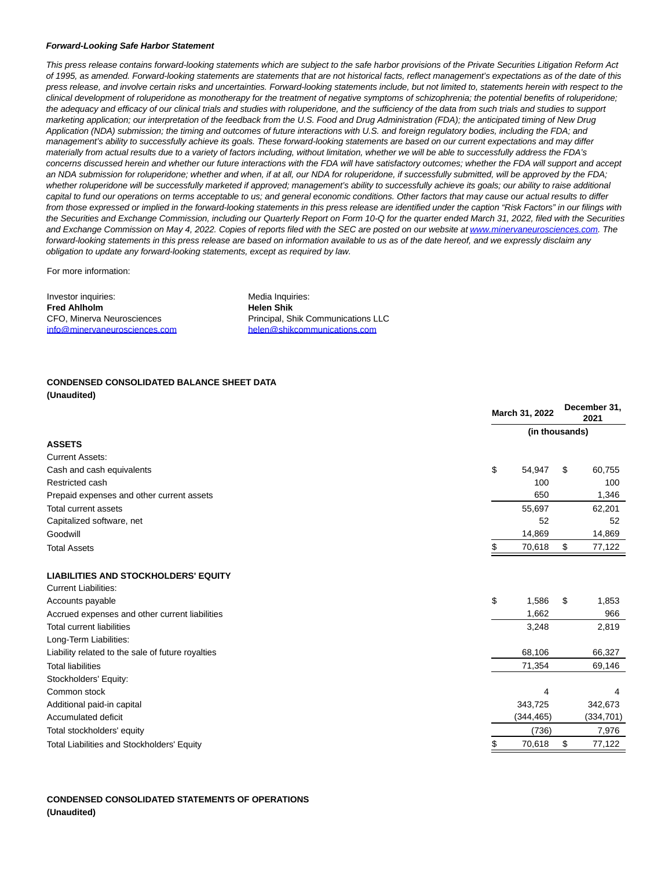#### **Forward-Looking Safe Harbor Statement**

This press release contains forward-looking statements which are subject to the safe harbor provisions of the Private Securities Litigation Reform Act of 1995, as amended. Forward-looking statements are statements that are not historical facts, reflect management's expectations as of the date of this press release, and involve certain risks and uncertainties. Forward-looking statements include, but not limited to, statements herein with respect to the clinical development of roluperidone as monotherapy for the treatment of negative symptoms of schizophrenia; the potential benefits of roluperidone; the adequacy and efficacy of our clinical trials and studies with roluperidone, and the sufficiency of the data from such trials and studies to support marketing application; our interpretation of the feedback from the U.S. Food and Drug Administration (FDA); the anticipated timing of New Drug Application (NDA) submission; the timing and outcomes of future interactions with U.S. and foreign regulatory bodies, including the FDA; and management's ability to successfully achieve its goals. These forward-looking statements are based on our current expectations and may differ materially from actual results due to a variety of factors including, without limitation, whether we will be able to successfully address the FDA's concerns discussed herein and whether our future interactions with the FDA will have satisfactory outcomes; whether the FDA will support and accept an NDA submission for roluperidone; whether and when, if at all, our NDA for roluperidone, if successfully submitted, will be approved by the FDA; whether roluperidone will be successfully marketed if approved; management's ability to successfully achieve its goals; our ability to raise additional capital to fund our operations on terms acceptable to us; and general economic conditions. Other factors that may cause our actual results to differ from those expressed or implied in the forward-looking statements in this press release are identified under the caption "Risk Factors" in our filings with the Securities and Exchange Commission, including our Quarterly Report on Form 10-Q for the quarter ended March 31, 2022, filed with the Securities and Exchange Commission on May 4, 2022. Copies of reports filed with the SEC are posted on our website a[t www.minervaneurosciences.com.](https://www.globenewswire.com/Tracker?data=tDbaAJG1oF-mfPmTXC5L6qzLb0y7-kdGYCdMCqzdCJliyfRO0lYwlh5oPt-XCzllE5h5iwsswcexjvJxDJXy_ceeDVFThJVwPuVEC6Yu637l1PI3dubwdmM-SiRALuto) The forward-looking statements in this press release are based on information available to us as of the date hereof, and we expressly disclaim any obligation to update any forward-looking statements, except as required by law.

For more information:

Investor inquiries: **Fred Ahlholm** CFO, Minerva Neurosciences [info@minervaneurosciences.com](mailto:info@minervaneurosciences.com) Media Inquiries: **Helen Shik** Principal, Shik Communications LLC [helen@shikcommunications.com](mailto:helen@shikcommunications.com)

### **CONDENSED CONSOLIDATED BALANCE SHEET DATA (Unaudited)**

|                                                   | March 31, 2022 |            |    | December 31,<br>2021 |  |
|---------------------------------------------------|----------------|------------|----|----------------------|--|
|                                                   | (in thousands) |            |    |                      |  |
| <b>ASSETS</b>                                     |                |            |    |                      |  |
| <b>Current Assets:</b>                            |                |            |    |                      |  |
| Cash and cash equivalents                         | \$             | 54,947     | S  | 60,755               |  |
| Restricted cash                                   |                | 100        |    | 100                  |  |
| Prepaid expenses and other current assets         |                | 650        |    | 1,346                |  |
| <b>Total current assets</b>                       |                | 55,697     |    | 62,201               |  |
| Capitalized software, net                         |                | 52         |    | 52                   |  |
| Goodwill                                          |                | 14,869     |    | 14,869               |  |
| <b>Total Assets</b>                               |                | 70,618     | \$ | 77,122               |  |
| <b>LIABILITIES AND STOCKHOLDERS' EQUITY</b>       |                |            |    |                      |  |
| <b>Current Liabilities:</b>                       |                |            |    |                      |  |
| Accounts payable                                  | \$             | 1,586      | \$ | 1,853                |  |
| Accrued expenses and other current liabilities    |                | 1,662      |    | 966                  |  |
| <b>Total current liabilities</b>                  |                | 3,248      |    | 2,819                |  |
| Long-Term Liabilities:                            |                |            |    |                      |  |
| Liability related to the sale of future royalties |                | 68,106     |    | 66,327               |  |
| <b>Total liabilities</b>                          |                | 71,354     |    | 69,146               |  |
| Stockholders' Equity:                             |                |            |    |                      |  |
| Common stock                                      |                | 4          |    | 4                    |  |
| Additional paid-in capital                        |                | 343,725    |    | 342,673              |  |
| Accumulated deficit                               |                | (344, 465) |    | (334, 701)           |  |
| Total stockholders' equity                        |                | (736)      |    | 7,976                |  |
| Total Liabilities and Stockholders' Equity        | \$             | 70,618     | \$ | 77,122               |  |

## **CONDENSED CONSOLIDATED STATEMENTS OF OPERATIONS (Unaudited)**